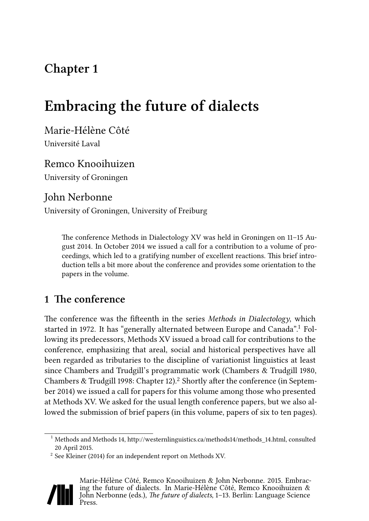# **Chapter 1**

# **Embracing the future of dialects**

Marie-Hélène Côté Université Laval

## Remco Knooihuizen

University of Groningen

# John Nerbonne

University of Groningen, University of Freiburg

The conference Methods in Dialectology XV was held in Groningen on 11–15 August 2014. In October 2014 we issued a call for a contribution to a volume of proceedings, which led to a gratifying number of excellent reactions. This brief introduction tells a bit more about the conference and provides some orientation to the papers in the volume.

# **1 The conference**

The conference was the fifteenth in the series *Methods in Dialectology*, which started in 1972. It has "generally alternated between Europe and Canada".<sup>1</sup> Following its predecessors, Methods XV issued a broad call for contributions to the conference, emphasizing that areal, social and historical perspectives have all been regarded as tributaries to the discipline of variationist linguistics at least since Chambers and Trudgill's programmatic work([Chambers & Trudgill 1980](#page-9-0), [Chambers & Trudgill 1998:](#page-9-1) Chapter 12).<sup>2</sup> Shortly after the conference (in September 2014) we issued a call for papers for this volume among those who presented at Methods XV. We asked for the usual length conference papers, but we also allowed the submission of brief papers (in this volume, papers of six to ten pages).

 $2$  See [Kleiner \(2014\)](#page-9-2) for an independent report on Methods XV.



Marie-Hélène Côté, Remco Knooihuizen & John Nerbonne. 2015. Embracing the future of dialects. In Marie-Hélène Côté, Remco Knooihuizen & John Nerbonne (eds.), *The future of dialects*, 1–13. Berlin: Language Science Press.

 $^{\rm 1}$  Methods and Methods 14, [http://westernlinguistics.ca/methods14/methods\\_14.html](http://westernlinguistics.ca/methods14/methods_14.html), consulted 20 April 2015.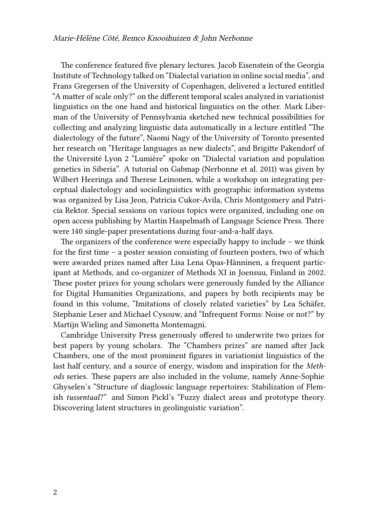The conference featured five plenary lectures. Jacob Eisenstein of the Georgia Institute of Technology talked on "Dialectal variation in online social media", and Frans Gregersen of the University of Copenhagen, delivered a lectured entitled "A matter of scale only?" on the different temporal scales analyzed in variationist linguistics on the one hand and historical linguistics on the other. Mark Liberman of the University of Pennsylvania sketched new technical possibilities for collecting and analyzing linguistic data automatically in a lecture entitled "The dialectology of the future", Naomi Nagy of the University of Toronto presented her research on "Heritage languages as new dialects", and Brigitte Pakendorf of the Université Lyon 2 "Lumière" spoke on "Dialectal variation and population genetics in Siberia". A tutorial on Gabmap [\(Nerbonne et al. 2011](#page-10-0)) was given by Wilbert Heeringa and Therese Leinonen, while a workshop on integrating perceptual dialectology and sociolinguistics with geographic information systems was organized by Lisa Jeon, Patricia Cukor-Avila, Chris Montgomery and Patricia Rektor. Special sessions on various topics were organized, including one on open access publishing by Martin Haspelmath of Language Science Press. There were 140 single-paper presentations during four-and-a-half days.

The organizers of the conference were especially happy to include – we think for the first time – a poster session consisting of fourteen posters, two of which were awarded prizes named after Lisa Lena Opas-Hänninen, a frequent participant at Methods, and co-organizer of Methods XI in Joensuu, Finland in 2002. These poster prizes for young scholars were generously funded by the Alliance for Digital Humanities Organizations, and papers by both recipients may be found in this volume, "Imitations of closely related varieties" by Lea Schäfer, Stephanie Leser and Michael Cysouw, and "Infrequent Forms: Noise or not?" by Martijn Wieling and Simonetta Montemagni.

Cambridge University Press generously offered to underwrite two prizes for best papers by young scholars. The "Chambers prizes" are named after Jack Chambers, one of the most prominent figures in variationist linguistics of the last half century, and a source of energy, wisdom and inspiration for the *Methods* series. These papers are also included in the volume, namely Anne-Sophie Ghyselen's "Structure of diaglossic language repertoires: Stabilization of Flemish *tussentaal*?" and Simon Pickl's "Fuzzy dialect areas and prototype theory. Discovering latent structures in geolinguistic variation".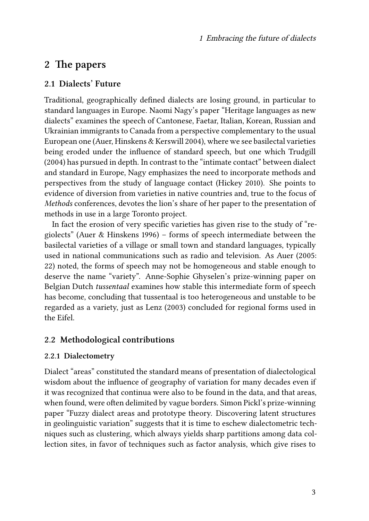# **2 The papers**

#### **2.1 Dialects' Future**

Traditional, geographically defined dialects are losing ground, in particular to standard languages in Europe. Naomi Nagy's paper "Heritage languages as new dialects" examines the speech of Cantonese, Faetar, Italian, Korean, Russian and Ukrainian immigrants to Canada from a perspective complementary to the usual European one [\(Auer, Hinskens & Kerswill 2004](#page-9-3)), where we see basilectal varieties being eroded under the influence of standard speech, but one which [Trudgill](#page-10-1) [\(2004\)](#page-10-1) has pursued in depth. In contrast to the "intimate contact" between dialect and standard in Europe, Nagy emphasizes the need to incorporate methods and perspectives from the study of language contact [\(Hickey 2010](#page-9-4)). She points to evidence of diversion from varieties in native countries and, true to the focus of *Methods* conferences, devotes the lion's share of her paper to the presentation of methods in use in a large Toronto project.

In fact the erosion of very specific varieties has given rise to the study of "regiolects" [\(Auer & Hinskens 1996\)](#page-9-5) – forms of speech intermediate between the basilectal varieties of a village or small town and standard languages, typically used in national communications such as radio and television. As [Auer \(2005](#page-9-6): 22) noted, the forms of speech may not be homogeneous and stable enough to deserve the name "variety". Anne-Sophie Ghyselen's prize-winning paper on Belgian Dutch *tussentaal* examines how stable this intermediate form of speech has become, concluding that tussentaal is too heterogeneous and unstable to be regarded as a variety, just as [Lenz \(2003\)](#page-10-2) concluded for regional forms used in the Eifel.

#### **2.2 Methodological contributions**

#### **2.2.1 Dialectometry**

Dialect "areas" constituted the standard means of presentation of dialectological wisdom about the influence of geography of variation for many decades even if it was recognized that continua were also to be found in the data, and that areas, when found, were often delimited by vague borders. Simon Pickl's prize-winning paper "Fuzzy dialect areas and prototype theory. Discovering latent structures in geolinguistic variation" suggests that it is time to eschew dialectometric techniques such as clustering, which always yields sharp partitions among data collection sites, in favor of techniques such as factor analysis, which give rises to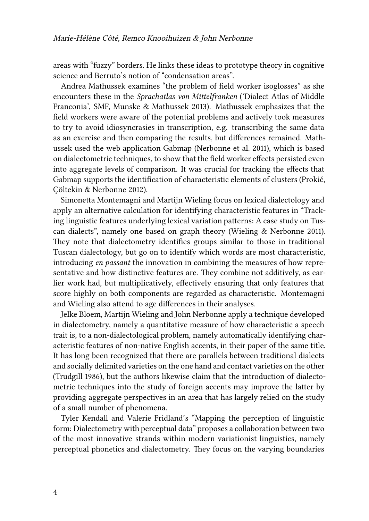areas with "fuzzy" borders. He links these ideas to prototype theory in cognitive science and Berruto's notion of "condensation areas".

Andrea Mathussek examines "the problem of field worker isoglosses" as she encounters these in the *Sprachatlas von Mittelfranken* ('Dialect Atlas of Middle Franconia', SMF, [Munske & Mathussek 2013](#page-10-3)). Mathussek emphasizes that the field workers were aware of the potential problems and actively took measures to try to avoid idiosyncrasies in transcription, e.g. transcribing the same data as an exercise and then comparing the results, but differences remained. Mathussek used the web application Gabmap [\(Nerbonne et al. 2011](#page-10-0)), which is based on dialectometric techniques, to show that the field worker effects persisted even into aggregate levels of comparison. It was crucial for tracking the effects that Gabmap supports the identification of characteristic elements of clusters [\(Prokić,](#page-10-4) [Çöltekin & Nerbonne 2012](#page-10-4)).

Simonetta Montemagni and Martijn Wieling focus on lexical dialectology and apply an alternative calculation for identifying characteristic features in "Tracking linguistic features underlying lexical variation patterns: A case study on Tuscan dialects", namely one based on graph theory([Wieling & Nerbonne 2011\)](#page-10-5). They note that dialectometry identifies groups similar to those in traditional Tuscan dialectology, but go on to identify which words are most characteristic, introducing *en passant* the innovation in combining the measures of how representative and how distinctive features are. They combine not additively, as earlier work had, but multiplicatively, effectively ensuring that only features that score highly on both components are regarded as characteristic. Montemagni and Wieling also attend to age differences in their analyses.

Jelke Bloem, Martijn Wieling and John Nerbonne apply a technique developed in dialectometry, namely a quantitative measure of how characteristic a speech trait is, to a non-dialectological problem, namely automatically identifying characteristic features of non-native English accents, in their paper of the same title. It has long been recognized that there are parallels between traditional dialects and socially delimited varieties on the one hand and contact varieties on the other [\(Trudgill 1986](#page-10-6)), but the authors likewise claim that the introduction of dialectometric techniques into the study of foreign accents may improve the latter by providing aggregate perspectives in an area that has largely relied on the study of a small number of phenomena.

Tyler Kendall and Valerie Fridland's "Mapping the perception of linguistic form: Dialectometry with perceptual data" proposes a collaboration between two of the most innovative strands within modern variationist linguistics, namely perceptual phonetics and dialectometry. They focus on the varying boundaries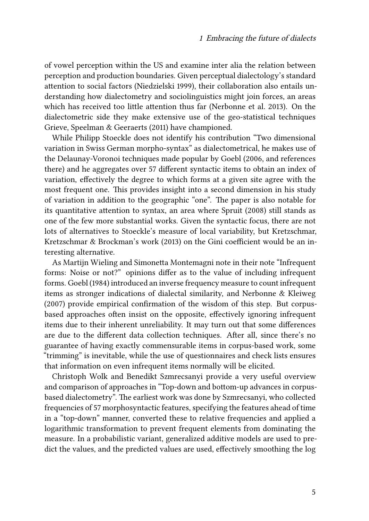of vowel perception within the US and examine inter alia the relation between perception and production boundaries. Given perceptual dialectology's standard attention to social factors([Niedzielski 1999\)](#page-10-7), their collaboration also entails understanding how dialectometry and sociolinguistics might join forces, an areas which has received too little attention thus far([Nerbonne et al. 2013\)](#page-10-8). On the dialectometric side they make extensive use of the geo-statistical techniques [Grieve, Speelman & Geeraerts \(2011\)](#page-9-7) have championed.

While Philipp Stoeckle does not identify his contribution "Two dimensional variation in Swiss German morpho-syntax" as dialectometrical, he makes use of the Delaunay-Voronoi techniques made popular by Goebl [\(2006](#page-9-8), and references there) and he aggregates over 57 different syntactic items to obtain an index of variation, effectively the degree to which forms at a given site agree with the most frequent one. This provides insight into a second dimension in his study of variation in addition to the geographic "one". The paper is also notable for its quantitative attention to syntax, an area where [Spruit \(2008\)](#page-10-9) still stands as one of the few more substantial works. Given the syntactic focus, there are not lots of alternatives to Stoeckle's measure of local variability, but [Kretzschmar,](#page-9-9) [Kretzschmar & Brockman](#page-9-9)'s work([2013\)](#page-9-9) on the Gini coefficient would be an interesting alternative.

As Martijn Wieling and Simonetta Montemagni note in their note "Infrequent forms: Noise or not?" opinions differ as to the value of including infrequent forms. [Goebl \(1984\)](#page-9-10) introduced an inverse frequency measure to count infrequent items as stronger indications of dialectal similarity, and [Nerbonne & Kleiweg](#page-10-10) [\(2007\)](#page-10-10) provide empirical confirmation of the wisdom of this step. But corpusbased approaches often insist on the opposite, effectively ignoring infrequent items due to their inherent unreliability. It may turn out that some differences are due to the different data collection techniques. After all, since there's no guarantee of having exactly commensurable items in corpus-based work, some "trimming" is inevitable, while the use of questionnaires and check lists ensures that information on even infrequent items normally will be elicited.

Christoph Wolk and Benedikt Szmrecsanyi provide a very useful overview and comparison of approaches in "Top-down and bottom-up advances in corpusbased dialectometry". The earliest work was done by Szmrecsanyi, who collected frequencies of 57 morphosyntactic features, specifying the features ahead of time in a "top-down" manner, converted these to relative frequencies and applied a logarithmic transformation to prevent frequent elements from dominating the measure. In a probabilistic variant, generalized additive models are used to predict the values, and the predicted values are used, effectively smoothing the log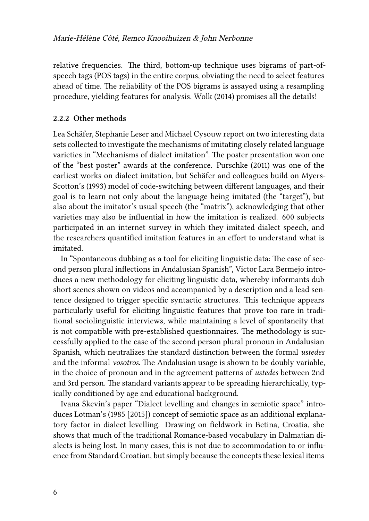relative frequencies. The third, bottom-up technique uses bigrams of part-ofspeech tags (POS tags) in the entire corpus, obviating the need to select features ahead of time. The reliability of the POS bigrams is assayed using a resampling procedure, yielding features for analysis. [Wolk \(2014\)](#page-11-0) promises all the details!

#### **2.2.2 Other methods**

Lea Schäfer, Stephanie Leser and Michael Cysouw report on two interesting data sets collected to investigate the mechanisms of imitating closely related language varieties in "Mechanisms of dialect imitation". The poster presentation won one of the "best poster" awards at the conference. [Purschke \(2011\)](#page-10-11) was one of the earliest works on dialect imitation, but Schäfer and colleagues build on [Myers-](#page-10-12)[Scotton](#page-10-12)'s [\(1993](#page-10-12)) model of code-switching between different languages, and their goal is to learn not only about the language being imitated (the "target"), but also about the imitator's usual speech (the "matrix"), acknowledging that other varieties may also be influential in how the imitation is realized. 600 subjects participated in an internet survey in which they imitated dialect speech, and the researchers quantified imitation features in an effort to understand what is imitated.

In "Spontaneous dubbing as a tool for eliciting linguistic data: The case of second person plural inflections in Andalusian Spanish", Victor Lara Bermejo introduces a new methodology for eliciting linguistic data, whereby informants dub short scenes shown on videos and accompanied by a description and a lead sentence designed to trigger specific syntactic structures. This technique appears particularly useful for eliciting linguistic features that prove too rare in traditional sociolinguistic interviews, while maintaining a level of spontaneity that is not compatible with pre-established questionnaires. The methodology is successfully applied to the case of the second person plural pronoun in Andalusian Spanish, which neutralizes the standard distinction between the formal *ustedes* and the informal *vosotros*. The Andalusian usage is shown to be doubly variable, in the choice of pronoun and in the agreement patterns of *ustedes* between 2nd and 3rd person. The standard variants appear to be spreading hierarchically, typically conditioned by age and educational background.

Ivana Škevin's paper "Dialect levelling and changes in semiotic space" introduces [Lotman](#page-10-13)'s [\(1985 \[2015\]](#page-10-13)) concept of semiotic space as an additional explanatory factor in dialect levelling. Drawing on fieldwork in Betina, Croatia, she shows that much of the traditional Romance-based vocabulary in Dalmatian dialects is being lost. In many cases, this is not due to accommodation to or influence from Standard Croatian, but simply because the concepts these lexical items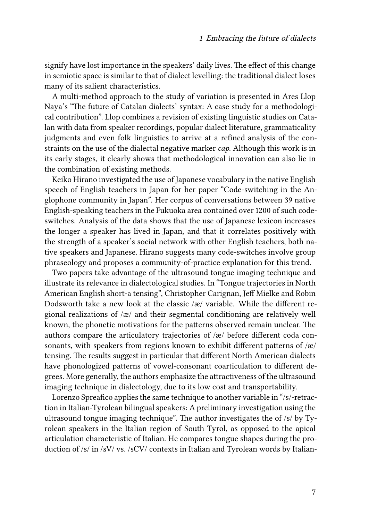signify have lost importance in the speakers' daily lives. The effect of this change in semiotic space is similar to that of dialect levelling: the traditional dialect loses many of its salient characteristics.

A multi-method approach to the study of variation is presented in Ares Llop Naya's "The future of Catalan dialects' syntax: A case study for a methodological contribution". Llop combines a revision of existing linguistic studies on Catalan with data from speaker recordings, popular dialect literature, grammaticality judgments and even folk linguistics to arrive at a refined analysis of the constraints on the use of the dialectal negative marker *cap*. Although this work is in its early stages, it clearly shows that methodological innovation can also lie in the combination of existing methods.

Keiko Hirano investigated the use of Japanese vocabulary in the native English speech of English teachers in Japan for her paper "Code-switching in the Anglophone community in Japan". Her corpus of conversations between 39 native English-speaking teachers in the Fukuoka area contained over 1200 of such codeswitches. Analysis of the data shows that the use of Japanese lexicon increases the longer a speaker has lived in Japan, and that it correlates positively with the strength of a speaker's social network with other English teachers, both native speakers and Japanese. Hirano suggests many code-switches involve group phraseology and proposes a community-of-practice explanation for this trend.

Two papers take advantage of the ultrasound tongue imaging technique and illustrate its relevance in dialectological studies. In "Tongue trajectories in North American English short-a tensing", Christopher Carignan, Jeff Mielke and Robin Dodsworth take a new look at the classic  $\alpha$  variable. While the different regional realizations of  $\chi$  and their segmental conditioning are relatively well known, the phonetic motivations for the patterns observed remain unclear. The authors compare the articulatory trajectories of /æ/ before different coda consonants, with speakers from regions known to exhibit different patterns of /æ/ tensing. The results suggest in particular that different North American dialects have phonologized patterns of vowel-consonant coarticulation to different degrees. More generally, the authors emphasize the attractiveness of the ultrasound imaging technique in dialectology, due to its low cost and transportability.

Lorenzo Spreafico applies the same technique to another variable in "/s/-retraction in Italian-Tyrolean bilingual speakers: A preliminary investigation using the ultrasound tongue imaging technique". The author investigates the of /s/ by Tyrolean speakers in the Italian region of South Tyrol, as opposed to the apical articulation characteristic of Italian. He compares tongue shapes during the production of /s/ in /sV/ vs. /sCV/ contexts in Italian and Tyrolean words by Italian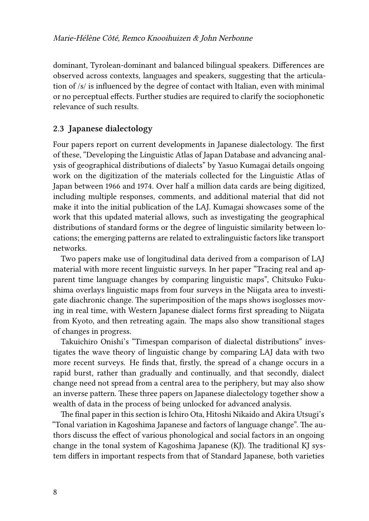dominant, Tyrolean-dominant and balanced bilingual speakers. Differences are observed across contexts, languages and speakers, suggesting that the articulation of /s/ is influenced by the degree of contact with Italian, even with minimal or no perceptual effects. Further studies are required to clarify the sociophonetic relevance of such results.

#### **2.3 Japanese dialectology**

Four papers report on current developments in Japanese dialectology. The first of these, "Developing the Linguistic Atlas of Japan Database and advancing analysis of geographical distributions of dialects" by Yasuo Kumagai details ongoing work on the digitization of the materials collected for the Linguistic Atlas of Japan between 1966 and 1974. Over half a million data cards are being digitized, including multiple responses, comments, and additional material that did not make it into the initial publication of the LAJ. Kumagai showcases some of the work that this updated material allows, such as investigating the geographical distributions of standard forms or the degree of linguistic similarity between locations; the emerging patterns are related to extralinguistic factors like transport networks.

Two papers make use of longitudinal data derived from a comparison of LAJ material with more recent linguistic surveys. In her paper "Tracing real and apparent time language changes by comparing linguistic maps", Chitsuko Fukushima overlays linguistic maps from four surveys in the Niigata area to investigate diachronic change. The superimposition of the maps shows isoglosses moving in real time, with Western Japanese dialect forms first spreading to Niigata from Kyoto, and then retreating again. The maps also show transitional stages of changes in progress.

Takuichiro Onishi's "Timespan comparison of dialectal distributions" investigates the wave theory of linguistic change by comparing LAJ data with two more recent surveys. He finds that, firstly, the spread of a change occurs in a rapid burst, rather than gradually and continually, and that secondly, dialect change need not spread from a central area to the periphery, but may also show an inverse pattern. These three papers on Japanese dialectology together show a wealth of data in the process of being unlocked for advanced analysis.

The final paper in this section is Ichiro Ota, Hitoshi Nikaido and Akira Utsugi's "Tonal variation in Kagoshima Japanese and factors of language change". The authors discuss the effect of various phonological and social factors in an ongoing change in the tonal system of Kagoshima Japanese (KJ). The traditional KJ system differs in important respects from that of Standard Japanese, both varieties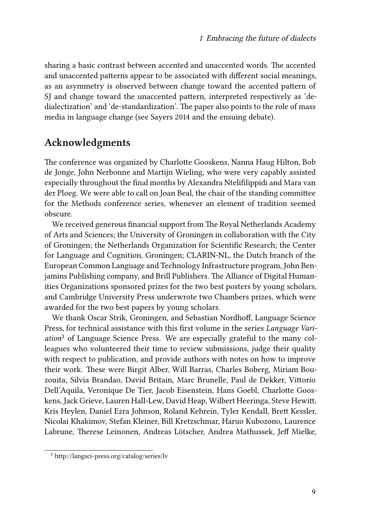sharing a basic contrast between accented and unaccented words. The accented and unaccented patterns appear to be associated with different social meanings, as an asymmetry is observed between change toward the accented pattern of SJ and change toward the unaccented pattern, interpreted respectively as 'dedialectization' and 'de-standardization'. The paper also points to the role of mass media in language change (see [Sayers 2014](#page-10-14) and the ensuing debate).

### **Acknowledgments**

The conference was organized by Charlotte Gooskens, Nanna Haug Hilton, Bob de Jonge, John Nerbonne and Martijn Wieling, who were very capably assisted especially throughout the final months by Alexandra Ntelifilippidi and Mara van der Ploeg. We were able to call on Joan Beal, the chair of the standing committee for the Methods conference series, whenever an element of tradition seemed obscure.

We received generous financial support from The Royal Netherlands Academy of Arts and Sciences; the University of Groningen in collaboration with the City of Groningen; the Netherlands Organization for Scientific Research; the Center for Language and Cognition, Groningen; CLARIN-NL, the Dutch branch of the European Common Language and Technology Infrastructure program, John Benjamins Publishing company, and Brill Publishers. The Alliance of Digital Humanities Organizations sponsored prizes for the two best posters by young scholars, and Cambridge University Press underwrote two Chambers prizes, which were awarded for the two best papers by young scholars.

We thank Oscar Strik, Groningen, and Sebastian Nordhoff, Language Science Press, for technical assistance with this first volume in the series *Language Variation*<sup>3</sup> of Language Science Press. We are especially grateful to the many colleagues who volunteered their time to review submissions, judge their quality with respect to publication, and provide authors with notes on how to improve their work. These were Birgit Alber, Will Barras, Charles Boberg, Miriam Bouzouita, Silvia Brandao, David Britain, Marc Brunelle, Paul de Dekker, Vittorio Dell'Aquila, Veronique De Tier, Jacob Eisenstein, Hans Goebl, Charlotte Gooskens, Jack Grieve, Lauren Hall-Lew, David Heap, Wilbert Heeringa, Steve Hewitt, Kris Heylen, Daniel Ezra Johnson, Roland Kehrein, Tyler Kendall, Brett Kessler, Nicolai Khakimov, Stefan Kleiner, Bill Kretzschmar, Haruo Kubozono, Laurence Labrune, Therese Leinonen, Andreas Lötscher, Andrea Mathussek, Jeff Mielke,

<sup>3</sup> <http://langsci-press.org/catalog/series/lv>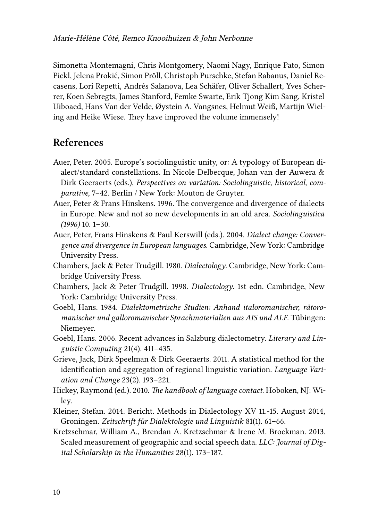Simonetta Montemagni, Chris Montgomery, Naomi Nagy, Enrique Pato, Simon Pickl, Jelena Prokić, Simon Pröll, Christoph Purschke, Stefan Rabanus, Daniel Recasens, Lori Repetti, Andrés Salanova, Lea Schäfer, Oliver Schallert, Yves Scherrer, Koen Sebregts, James Stanford, Femke Swarte, Erik Tjong Kim Sang, Kristel Uiboaed, Hans Van der Velde, Øystein A. Vangsnes, Helmut Weiß, Martijn Wieling and Heike Wiese. They have improved the volume immensely!

# **References**

- <span id="page-9-6"></span>Auer, Peter. 2005. Europe's sociolinguistic unity, or: A typology of European dialect/standard constellations. In Nicole Delbecque, Johan van der Auwera & Dirk Geeraerts (eds.), *Perspectives on variation: Sociolinguistic, historical, comparative*, 7–42. Berlin / New York: Mouton de Gruyter.
- <span id="page-9-5"></span>Auer, Peter & Frans Hinskens. 1996. The convergence and divergence of dialects in Europe. New and not so new developments in an old area. *Sociolinguistica (1996)* 10. 1–30.
- <span id="page-9-3"></span>Auer, Peter, Frans Hinskens & Paul Kerswill (eds.). 2004. *Dialect change: Convergence and divergence in European languages*. Cambridge, New York: Cambridge University Press.
- <span id="page-9-0"></span>Chambers, Jack & Peter Trudgill. 1980. *Dialectology*. Cambridge, New York: Cambridge University Press.
- <span id="page-9-1"></span>Chambers, Jack & Peter Trudgill. 1998. *Dialectology*. 1st edn. Cambridge, New York: Cambridge University Press.
- <span id="page-9-10"></span>Goebl, Hans. 1984. *Dialektometrische Studien: Anhand italoromanischer, rätoromanischer und galloromanischer Sprachmaterialien aus AIS und ALF*. Tübingen: Niemeyer.
- <span id="page-9-8"></span>Goebl, Hans. 2006. Recent advances in Salzburg dialectometry. *Literary and Linguistic Computing* 21(4). 411–435.
- <span id="page-9-7"></span>Grieve, Jack, Dirk Speelman & Dirk Geeraerts. 2011. A statistical method for the identification and aggregation of regional linguistic variation. *Language Variation and Change* 23(2). 193–221.
- <span id="page-9-4"></span>Hickey, Raymond (ed.). 2010. *The handbook of language contact*. Hoboken, NJ: Wiley.
- <span id="page-9-2"></span>Kleiner, Stefan. 2014. Bericht. Methods in Dialectology XV 11.-15. August 2014, Groningen. *Zeitschrift für Dialektologie und Linguistik* 81(1). 61–66.
- <span id="page-9-9"></span>Kretzschmar, William A., Brendan A. Kretzschmar & Irene M. Brockman. 2013. Scaled measurement of geographic and social speech data. *LLC: Journal of Digital Scholarship in the Humanities* 28(1). 173–187.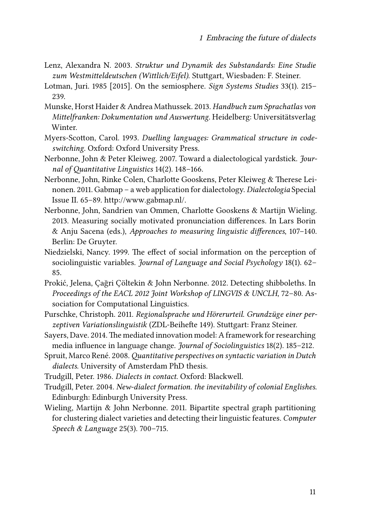- <span id="page-10-2"></span>Lenz, Alexandra N. 2003. *Struktur und Dynamik des Substandards: Eine Studie zum Westmitteldeutschen (Wittlich/Eifel)*. Stuttgart, Wiesbaden: F. Steiner.
- <span id="page-10-13"></span>Lotman, Juri. 1985 [2015]. On the semiosphere. *Sign Systems Studies* 33(1). 215– 239.
- <span id="page-10-3"></span>Munske, Horst Haider & Andrea Mathussek. 2013. *Handbuch zum Sprachatlas von Mittelfranken: Dokumentation und Auswertung*. Heidelberg: Universitätsverlag Winter.
- <span id="page-10-12"></span>Myers-Scotton, Carol. 1993. *Duelling languages: Grammatical structure in codeswitching*. Oxford: Oxford University Press.
- <span id="page-10-10"></span>Nerbonne, John & Peter Kleiweg. 2007. Toward a dialectological yardstick. *Journal of Quantitative Linguistics* 14(2). 148–166.
- <span id="page-10-0"></span>Nerbonne, John, Rinke Colen, Charlotte Gooskens, Peter Kleiweg & Therese Leinonen. 2011. Gabmap – a web application for dialectology. *Dialectologia* Special Issue II. 65–89. [http://www.gabmap.nl/.](http://www.gabmap.nl/)
- <span id="page-10-8"></span>Nerbonne, John, Sandrien van Ommen, Charlotte Gooskens & Martijn Wieling. 2013. Measuring socially motivated pronunciation differences. In Lars Borin & Anju Sacena (eds.), *Approaches to measuring linguistic differences*, 107–140. Berlin: De Gruyter.
- <span id="page-10-7"></span>Niedzielski, Nancy. 1999. The effect of social information on the perception of sociolinguistic variables. *Journal of Language and Social Psychology* 18(1). 62– 85.
- <span id="page-10-4"></span>Prokić, Jelena, Çağri Çöltekin & John Nerbonne. 2012. Detecting shibboleths. In *Proceedings of the EACL 2012 Joint Workshop of LINGVIS & UNCLH*, 72–80. Association for Computational Linguistics.
- <span id="page-10-11"></span>Purschke, Christoph. 2011. *Regionalsprache und Hörerurteil. Grundzüge einer perzeptiven Variationslinguistik* (ZDL-Beihefte 149). Stuttgart: Franz Steiner.
- <span id="page-10-14"></span>Sayers, Dave. 2014. The mediated innovation model: A framework for researching media influence in language change. *Journal of Sociolinguistics* 18(2). 185–212.
- <span id="page-10-9"></span>Spruit, Marco René. 2008.*Quantitative perspectives on syntactic variation in Dutch dialects*. University of Amsterdam PhD thesis.
- <span id="page-10-6"></span>Trudgill, Peter. 1986. *Dialects in contact*. Oxford: Blackwell.
- <span id="page-10-1"></span>Trudgill, Peter. 2004. *New-dialect formation. the inevitability of colonial Englishes*. Edinburgh: Edinburgh University Press.
- <span id="page-10-5"></span>Wieling, Martijn & John Nerbonne. 2011. Bipartite spectral graph partitioning for clustering dialect varieties and detecting their linguistic features. *Computer Speech & Language* 25(3). 700–715.